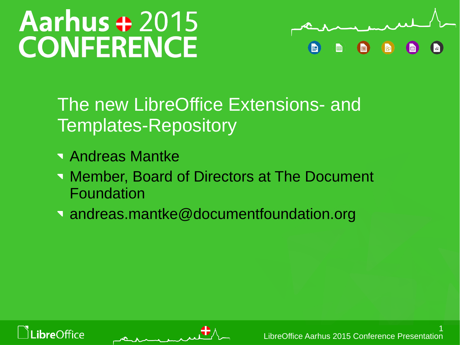# **Aarhus + 2015 CONFERENCE**



## The new LibreOffice Extensions- and Templates-Repository

- Andreas Mantke
- **Number, Board of Directors at The Document** Foundation
- andreas.mantke@documentfoundation.org



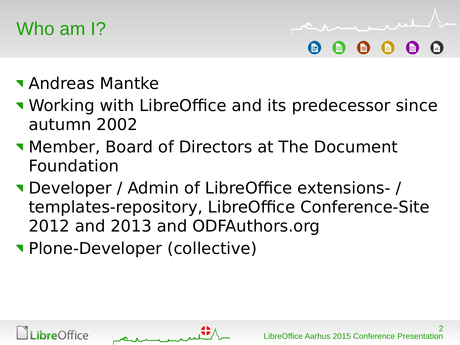## Who am I?

Andreas Mantke

- **Working with LibreOffice and its predecessor since** autumn 2002
- **Member, Board of Directors at The Document** Foundation
- Developer / Admin of LibreOffice extensions- / templates-repository, LibreOffice Conference-Site 2012 and 2013 and ODFAuthors.org
- Plone-Developer (collective)



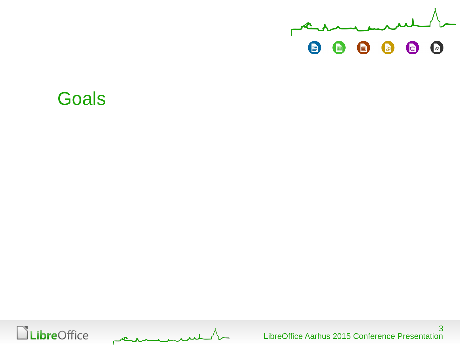

### **Goals**

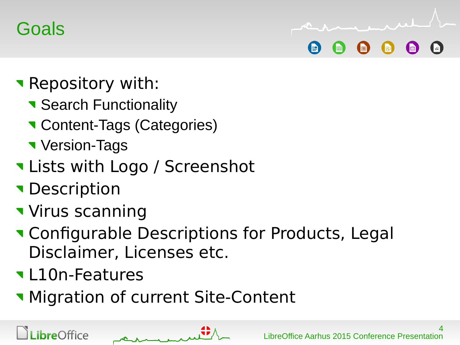## **Goals**

- **Repository with:** 
	- **Search Functionality**
	- **Content-Tags (Categories)**
	- **Version-Tags**
- Lists with Logo / Screenshot
- **Description**
- **Virus scanning**
- **Theory Configurable Descriptions for Products, Legal** Disclaimer, Licenses etc.
- L10n-Features
- **Migration of current Site-Content**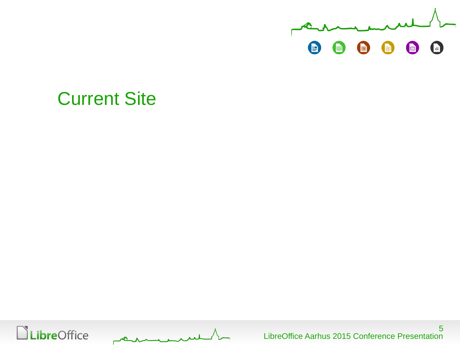

### Current Site

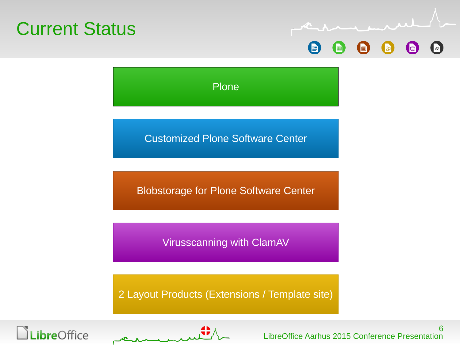



Plone

Customized Plone Software Center

Blobstorage for Plone Software Center

Virusscanning with ClamAV

2 Layout Products (Extensions / Template site)



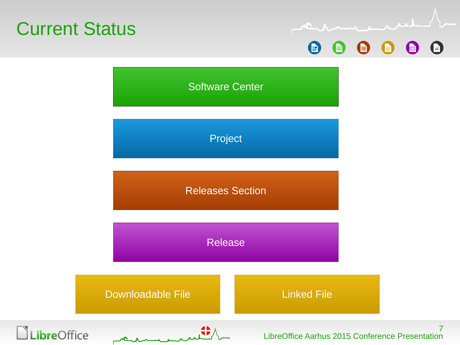



Software Center

Project

Releases Section

Release

Downloadable File **Linked File** Linked File





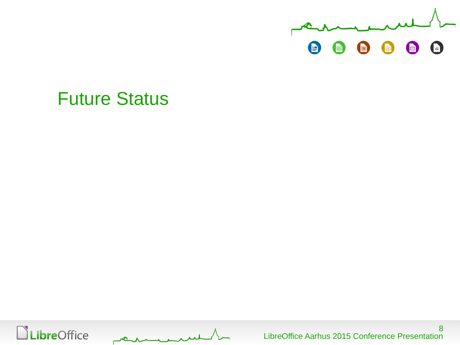

### Future Status

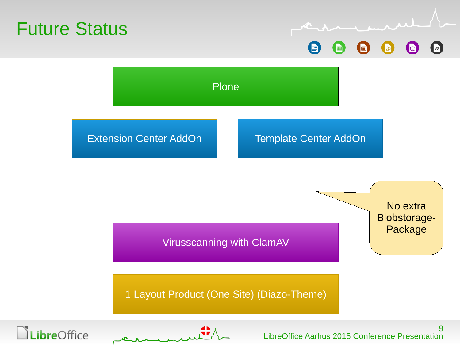

9 LibreOffice Aarhus 2015 Conference Presentation



.ibreOffice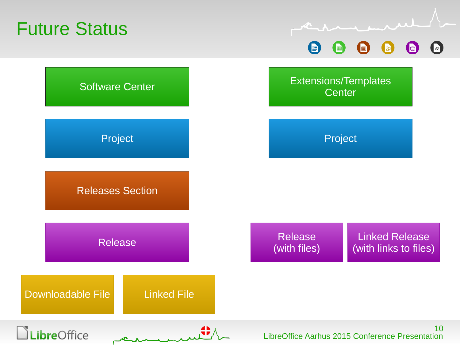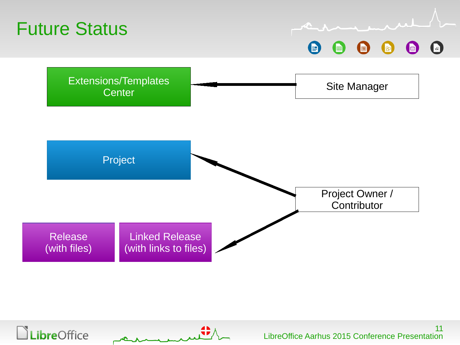



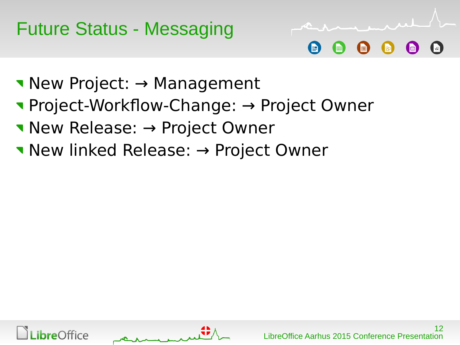



- New Project: → Management
- Project-Workflow-Change: → Project Owner
- New Release: → Project Owner
- New linked Release: → Project Owner



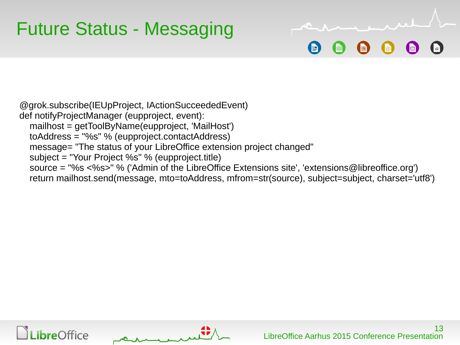## Future Status - Messaging

@grok.subscribe(IEUpProject, IActionSucceededEvent) def notifyProjectManager (eupproject, event): mailhost = getToolByName(eupproject, 'MailHost') toAddress = "%s" % (eupproject.contactAddress) message= "The status of your LibreOffice extension project changed" subject = "Your Project %s" % (eupproject.title) source = "%s <%s>" % ('Admin of the LibreOffice Extensions site', 'extensions@libreoffice.org') return mailhost.send(message, mto=toAddress, mfrom=str(source), subject=subject, charset='utf8')



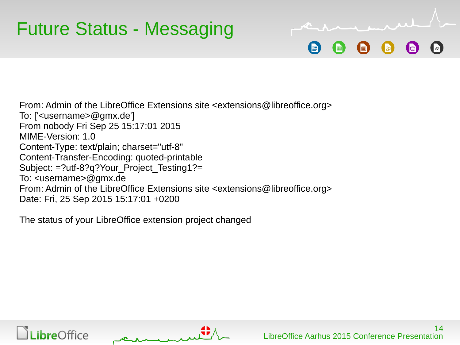From: Admin of the LibreOffice Extensions site <extensions@libreoffice.org> To: ['<username>@gmx.de'] From nobody Fri Sep 25 15:17:01 2015 MIME-Version: 1.0 Content-Type: text/plain; charset="utf-8" Content-Transfer-Encoding: quoted-printable Subject: =?utf-8?q?Your\_Project\_Testing1?= To: <username>@gmx.de From: Admin of the LibreOffice Extensions site <extensions@libreoffice.org> Date: Fri, 25 Sep 2015 15:17:01 +0200

The status of your LibreOffice extension project changed



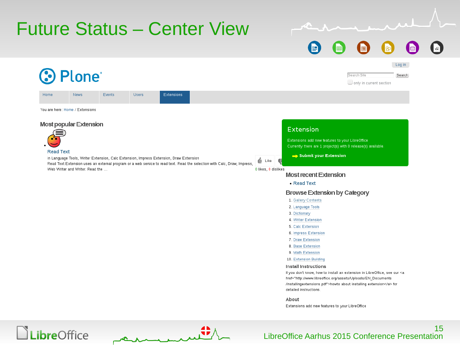

### LibreOffice Aarhus 2015 Conference Presentation

15



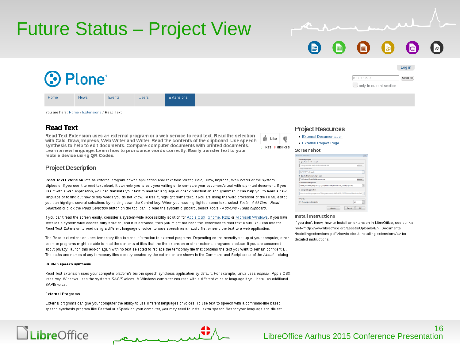

### Future Status – Project View

You are here: Home / Extensions / Read Text

News

Events

**3 Plone** 

### **Read Text**

Home

Read Text Extension uses an external program or a web service to read text. Read the selection with Calc, Draw, Impress, Web Writer and Writer. Read the contents of the clipboard. Use speech synthesis to help to edit documents. Compare computer documents with printed documents. Learn a new language. Learn how to pronounce words correctly. Easily transfer text to your mobile device using OR Codes.

Users

**Project Description** 

Read Text Extension lets an external program or web application read text from Writer, Calc, Draw, Impress, Web Writer or clipboard. If you use it to read text aloud, it can help you to edit your writing or to compare your document's text with a printe use it with a web application, you can translate your text to another language or check punctuation and grammar. It can help language or to find out how to say words you do not know. To use it, highlight some text. If you are using the word processor or the HTML editor, you can highlight several selections by holding down the Control key. When you have highlighted some text, select Tools - Add-Ons - Read Selection or click the Read Selection button on the tool bar. To read the system clipboard, select Tools - Add-Ons - Read clipboard.

Extensions

If you can't read the screen easily, consider a system-wide accessibility solution for Apple OSX, Gnome, KDE or Microsoft Windows. If you have installed a system-wide accessibility solution, and it is activated, then you might not need this extension to read text aloud. You can use the Read Text Extension to read using a different language or voice, to save speech as an audio file, or send the text to a web application.

The Read text extension uses temporary files to send information to external programs. Depending on the security set up of your computer, other users or programs might be able to read the contents of files that the the extension or other external programs produce. If you are concerned about privacy, launch this add-on again with no text selected to replace the temporary file that contains the text you want to remain confidential. The paths and names of any temporary files directly created by the extension are shown in the Command and Script areas of the About... dialog

#### **Built-in speech synthesis**

Read Text extension uses your computer platform's built-in speech synthesis application by default. For example, Linux uses espeak. Apple OSX uses say. Windows uses the system's SAPI5 voices. A Windows computer can read with a different voice or language if you install an additional SAPI5 voice.

#### **External Programs**

.ibreOffice

External programs can give your computer the ability to use different languages or voices. To use text to speech with a command-line based speech synthesis program like Festival or eSpeak on your computer, you may need to install extra speech files for your language and dialect

| $\sim$ $\cdots$ $\sim$ $\sim$ $\cdots$ $\cdots$ | Screenshot                                               |  |  |  |
|-------------------------------------------------|----------------------------------------------------------|--|--|--|
|                                                 | Read Text Extension                                      |  |  |  |
|                                                 | External program<br>C) Use Festival with a script        |  |  |  |
|                                                 | C//Program Files (vBE)\/lestival\/lestival\exe           |  |  |  |
|                                                 | Script commands                                          |  |  |  |
|                                                 | (tius' (TMP) "mil) (quit)                                |  |  |  |
|                                                 | Bead with an external program                            |  |  |  |
| the system                                      | C/Windows\SysWOW64\wscript.exe                           |  |  |  |
|                                                 | Command line options                                     |  |  |  |
| d document. If you                              | "(TTS_WSCRIPT_VBS)" /language"(SELECTION_LANGUAGE_CO     |  |  |  |
| you to learn a new                              | <b>C</b> Use a web application                           |  |  |  |
|                                                 | http://translate.google.com/?&langpair=auto))_ANGUAGE_CO |  |  |  |
|                                                 |                                                          |  |  |  |

#### Install Instructions

<sup>17</sup> Always show this dialog

**Project Resources** 

• External Documentation

• External Project Page

If you don't know, how to install an extension in LibreOffice, see our <a href="http://www.libreoffice.org/assets/Uploads/EN Documents /installingextensions.pdf">howto about installing extension</a> for detailed instructions.

About. Cancel OK

G Like

0 likes 0 dielikes

Search Search Site  $\Box$  only in current section

Log in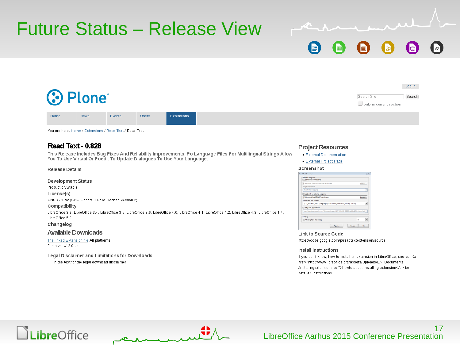

### Future Status – Release View

Users

### You are here: Home / Extensions / Read Text / Read Text

Events

### Read Text - 0.828

**3 Plone** 

News

This Release Includes Bug Fixes And Reliability Improvements. Po Language Files For Multilingual Strings Allow You To Use Virtaal Or Poedit To Update Dialogues To Use Your Language.

Extensions

#### **Release Details**

Home

**Development Status** Production/Stable License(s) GNU-GPL-v2 (GNU General Public License Version 2) Compatibility LibreOffice 3.3, LibreOffice 3.4, LibreOffice 3.5, LibreOffice 3.6, LibreOffice 4.0, LibreOffice 4.1, LibreOffice 4.2, LibreOffice 4.3, LibreOffice 4.4, LibreOffice 5.0 Changelog

### **Available Downloads**

The linked Extension file All platforms File size: 412.0 kb

Legal Disclaimer and Limitations for Downloads Fill in the text for the legal download disclaimer

### **Project Resources**

- External Documentation
- External Project Page

#### Screenshot

| Read Text Extension                                                             |        |
|---------------------------------------------------------------------------------|--------|
| External program<br><b>C Use Festival with a script</b>                         |        |
| C//Program Files (d)5) / estival/festival.exe                                   | Browse |
| Script commands                                                                 |        |
| (tts"(TMP)"nil) (quit)                                                          | ٠      |
| R Exad with an external program                                                 |        |
| C:\Windows\SysW0W64\wscript.exe                                                 | Browse |
| Command line options                                                            |        |
| "(TTS_WSCRIPT_VBS)" /language"(SELECTION_LANGUAGE_CODE)" "(TMP)"                | ×      |
| Use a web application                                                           |        |
| http://translate.google.com/?&langpair=auto))LANGUAGE_CODE)&tbb=1&ie=&hl=(LAE = |        |
|                                                                                 |        |
| <b>Display</b>                                                                  |        |

Link to Source Code https://code.google.com/p/readtextextension/source

#### Install Instructions

If you don't know, how to install an extension in LibreOffice, see our <a href="http://www.libreoffice.org/assets/Uploads/EN\_Documents /Installingextensions.pdf">howto about installing extension</a> for detailed instructions

Search Site

only in current section

Log in

Search



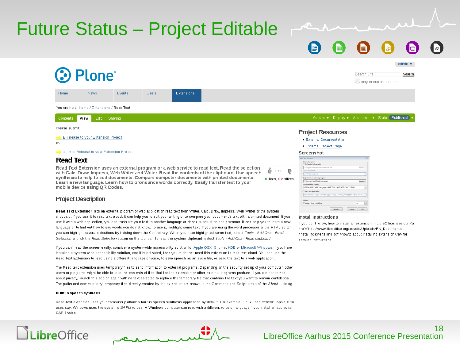## Future Status – Project Editable

admin  $\blacktriangledown$ Plone<sup>®</sup> Search Site Search  $\Box$  only in current section Home News Events Users Extensions You are here: Home / Extensions / Read Text Actions v Display v Add new... v State: Published Contents **View** Edit Sharing Please submit **Project Resources** A Release to your Extension Project • External Documentation · External Project Page

a linked Release to your Extension Project

### **Read Text**

or

Read Text Extension uses an external program or a web service to read text. Read the selection Like with Calc, Draw, Impress, Web Writer and Writer. Read the contents of the clipboard. Use speech synthesis to help to edit documents. Compare computer documents with printed documents. 0 likes, 0 dislikes Learn a new language. Learn how to pronounce words correctly. Easily transfer text to your mobile device using QR Codes.

### **Project Description**

Read Text Extension lets an external program or web application read text from Writer, Calc, Draw, Impress, Web Writer or the system clipboard. If you use it to read text aloud, it can help you to edit your writing or to compare your document's text with a printed document. If you use it with a web application, you can translate your text to another language or check punctuation and grammar. It can help you to learn a new language or to find out how to say words you do not know. To use it, highlight some text. If you are using the word processor or the HTML editor, you can highlight several selections by holding down the Control key. When you have highlighted some text, select Tools - Add-Ons - Read Selection or click the Read Selection button on the tool bar. To read the system clipboard, select Tools - Add-Ons - Read clipboard.

If you can't read the screen easily, consider a system wide accessibility solution for Apple OSX, Gnome, KDE or Microsoft Windows. If you have installed a system-wide accessibility solution, and it is activated, then you might not need this extension to read text aloud. You can use the Read Text Extension to read using a different language or voice, to save speech as an audio file, or send the text to a web application.

The Read text extension uses temporary files to send information to external programs. Depending on the security set up of your computer, other users or programs might be able to read the contents of files that the the extension or other external programs produce. If you are concerned about privacy, launch this add-on again with no text selected to replace the temporary file that contains the text you want to remain confidential. The paths and names of any temporary files directly created by the extension are shown in the Command and Script areas of the About... dialog.

#### **Built-in speech synthesis**

.ibreOffice

Read Text extension uses your computer platform's built-in speech synthesis application by default. For example, Linux uses espeak. Apple OSX uses say. Windows uses the system's SAPI5 voices. A Windows computer can read with a different voice or language if you install an additional SAPI5 voice

#### Screenshot

| C//Program Files (d)5)/festival/festival.exe                                    | Browse |
|---------------------------------------------------------------------------------|--------|
| Script commands                                                                 |        |
| (tts"(TMP)"nil) (quit)                                                          |        |
| C Exad with an external program                                                 |        |
| C//Windows\SysWOW64\wscript.exe                                                 | Browse |
| Command line options                                                            |        |
| "(TTS_WSCRIPT_VBS)" /language:"(SELECTION_LANGUAGE_CODE)" "(TMP)"               |        |
| Use a web application                                                           |        |
| http://translate.google.com/?&langpair=auto)]LANGUAGE_CODE)&tbb=1&ie=&hl=(LAf = |        |
| Display                                                                         |        |
| Always show this dialog                                                         | m      |

#### **Install Instructions**

If you don't know, how to install an extension in LibreOffice, see our <a href="http://www.libreoffice.org/assets/Uploads/EN\_Documents /Installingextensions.pdf">howto about installing extension</a> for detailed instructions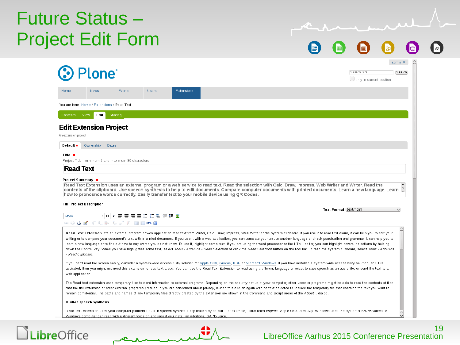## Future Status – Project Edit Form

G  $\blacksquare$  $\bigoplus$  $\left( \begin{matrix} 1 \\ 2 \end{matrix} \right)$ R  $\mathbb{R}^2$ 

| <b>Plone</b>                                                                                                                                                                                                                                                                                                                                                                                                                                                                                                                                                                                                                                                                                                                                                                                                                                                                          |         |              |                                                                                              |                                                                                                                                                                      |  |                        |                         |              |
|---------------------------------------------------------------------------------------------------------------------------------------------------------------------------------------------------------------------------------------------------------------------------------------------------------------------------------------------------------------------------------------------------------------------------------------------------------------------------------------------------------------------------------------------------------------------------------------------------------------------------------------------------------------------------------------------------------------------------------------------------------------------------------------------------------------------------------------------------------------------------------------|---------|--------------|----------------------------------------------------------------------------------------------|----------------------------------------------------------------------------------------------------------------------------------------------------------------------|--|------------------------|-------------------------|--------------|
|                                                                                                                                                                                                                                                                                                                                                                                                                                                                                                                                                                                                                                                                                                                                                                                                                                                                                       |         |              |                                                                                              |                                                                                                                                                                      |  |                        | Search Site             | Search       |
|                                                                                                                                                                                                                                                                                                                                                                                                                                                                                                                                                                                                                                                                                                                                                                                                                                                                                       |         |              |                                                                                              |                                                                                                                                                                      |  |                        | only in current section |              |
| Home<br>News                                                                                                                                                                                                                                                                                                                                                                                                                                                                                                                                                                                                                                                                                                                                                                                                                                                                          | Events  | <b>Users</b> | <b>Extensions</b>                                                                            |                                                                                                                                                                      |  |                        |                         |              |
| You are here: Home / Extensions / Read Text                                                                                                                                                                                                                                                                                                                                                                                                                                                                                                                                                                                                                                                                                                                                                                                                                                           |         |              |                                                                                              |                                                                                                                                                                      |  |                        |                         |              |
| Contents View<br>Edit                                                                                                                                                                                                                                                                                                                                                                                                                                                                                                                                                                                                                                                                                                                                                                                                                                                                 | Sharing |              |                                                                                              |                                                                                                                                                                      |  |                        |                         |              |
|                                                                                                                                                                                                                                                                                                                                                                                                                                                                                                                                                                                                                                                                                                                                                                                                                                                                                       |         |              |                                                                                              |                                                                                                                                                                      |  |                        |                         |              |
| <b>Edit Extension Project</b><br>An extension project                                                                                                                                                                                                                                                                                                                                                                                                                                                                                                                                                                                                                                                                                                                                                                                                                                 |         |              |                                                                                              |                                                                                                                                                                      |  |                        |                         |              |
|                                                                                                                                                                                                                                                                                                                                                                                                                                                                                                                                                                                                                                                                                                                                                                                                                                                                                       |         |              |                                                                                              |                                                                                                                                                                      |  |                        |                         |              |
| Ownership<br>Default ■                                                                                                                                                                                                                                                                                                                                                                                                                                                                                                                                                                                                                                                                                                                                                                                                                                                                | Dates   |              |                                                                                              |                                                                                                                                                                      |  |                        |                         |              |
| Title $\blacksquare$<br>Project Title - minimum 5 and maximum 80 characters                                                                                                                                                                                                                                                                                                                                                                                                                                                                                                                                                                                                                                                                                                                                                                                                           |         |              |                                                                                              |                                                                                                                                                                      |  |                        |                         |              |
| <b>Read Text</b>                                                                                                                                                                                                                                                                                                                                                                                                                                                                                                                                                                                                                                                                                                                                                                                                                                                                      |         |              |                                                                                              |                                                                                                                                                                      |  |                        |                         |              |
|                                                                                                                                                                                                                                                                                                                                                                                                                                                                                                                                                                                                                                                                                                                                                                                                                                                                                       |         |              | how to pronounce words correctly. Easily transfer text to your mobile device using QR Codes. | contents of the clipboard. Use speech synthesis to help to edit documents. Compare computer documents with printed documents. Learn a new language. Learn $\hat{\ }$ |  |                        |                         |              |
|                                                                                                                                                                                                                                                                                                                                                                                                                                                                                                                                                                                                                                                                                                                                                                                                                                                                                       |         |              |                                                                                              |                                                                                                                                                                      |  | Text Format Ltext/html |                         | $\checkmark$ |
| <b>Full Project Description</b><br>Style                                                                                                                                                                                                                                                                                                                                                                                                                                                                                                                                                                                                                                                                                                                                                                                                                                              |         |              |                                                                                              |                                                                                                                                                                      |  |                        |                         |              |
| ∞ ※ ↓ <mark>≤</mark> ∃"------ 'm m' Y   ⊞ ⊞ mm □                                                                                                                                                                                                                                                                                                                                                                                                                                                                                                                                                                                                                                                                                                                                                                                                                                      |         |              |                                                                                              |                                                                                                                                                                      |  |                        |                         |              |
| Read Text Extension lets an external program or web application read text from Writer, Calc, Draw, Impress, Web Writer or the system clipboard. If you use it to read text aloud, it can help you to edit your<br>writing or to compare your document's text with a printed document. If you use it with a web application, you can translate your text to another language or check punctuation and grammar. It can help you to<br>learn a new language or to find out how to say words you do not know. To use it, highlight some text. If you are using the word processor or the HTML editor, you can highlight several selections by holding<br>down the Control key. When you have highlighted some text, select Tools - Add-Ons - Read Selection or click the Read Selection button on the tool bar. To read the system clipboard, select Tools - Add-Ons<br>- Read clipboard. |         |              |                                                                                              |                                                                                                                                                                      |  |                        |                         |              |
| If you can't read the screen easily, consider a system wide accessibility solution for Apple OSX, Gnome, KDE or Microsoft Windows. If you have installed a system wide accessibility solution, and it is<br>activated, then you might not need this extension to read text aloud. You can use the Read Text Extension to read using a different language or voice, to save speech as an audio file, or send the text to a<br>web application.                                                                                                                                                                                                                                                                                                                                                                                                                                         |         |              |                                                                                              |                                                                                                                                                                      |  |                        |                         |              |
| The Read text extension uses temporary files to send information to external programs. Depending on the security set up of your computer, other users or programs might be able to read the contents of files<br>that the the extension or other external programs produce. If you are concerned about privacy, launch this add-on again with no text selected to replace the temporary file that contains the text you want to<br>remain confidential. The paths and names of any temporary files directly created by the extension are shown in the Command and Script areas of the About dialog.                                                                                                                                                                                                                                                                                   |         |              |                                                                                              |                                                                                                                                                                      |  |                        |                         |              |
| <b>Built-in speech synthesis</b>                                                                                                                                                                                                                                                                                                                                                                                                                                                                                                                                                                                                                                                                                                                                                                                                                                                      |         |              |                                                                                              |                                                                                                                                                                      |  |                        |                         |              |

### **LibreOffice**

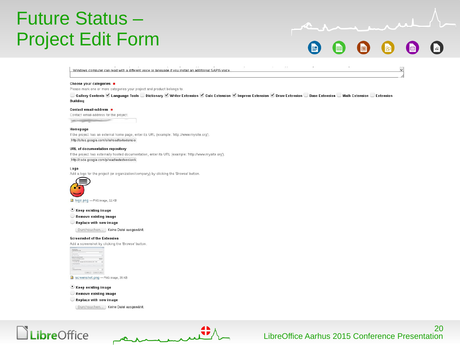## Future Status – Project Edit Form

U

Windows computer can read with a different voice or language if you install an additional SAPI5 voice

#### Choose your categories

Please mark one or more categories your project and product belongs to.

■ Gallery Contents ⊌ Language Tools © Dictionary ⊌ Writer Extension ⊌ Calc Extension ⊌ Impress Extension ⊌ Draw Extension © Base Extension © Math Extension © Extension **Building** 

#### Contact email-address ■

Contact email-address for the project Trianguli tecnologial in contractor

#### Homepage

If the project has an external home page, enter its URL (example: 'http://www.mysite.org') http://sites.google.com/site/readtextextensio

#### **URL** of documentation repository

If the project has externally hosted documentation, enter its URL (example: 'http://www.mysite.org') http://code.google.com/p/readtextextension/v

#### Logo

Add a logo for the project (or organization/company) by clicking the 'Browse' button



logo.png - PNG image, 11KB

#### • Keep existing image

Remove existing image

Replace with new image

[ Durchsuchen... ] Keine Datei ausgewählt.

#### **Screemshot of the Extension**

Add a screenshot by clicking the 'Browse' button

| Collegean Pitts Little Hydrogen                      | -- |                      |  |
|------------------------------------------------------|----|----------------------|--|
| <b>START COMPANY</b>                                 |    |                      |  |
| an United States                                     |    |                      |  |
| <b>Real with an estated program</b>                  |    |                      |  |
| Company's buildings and plays                        |    |                      |  |
| <b>Construction collection</b>                       |    |                      |  |
| 1773 ASORT ART despois 1953 STRL Leabout CORP. Their |    |                      |  |
| IT Was a coll application.                           |    |                      |  |
|                                                      | ٠  |                      |  |
| <b>Barber</b>                                        |    |                      |  |
| Colours point for data                               |    |                      |  |
|                                                      |    | Antonio Construction |  |

Screenshot.png - PNG image, 35 KB

C Keep existing image

- Remove existing image
- Replace with new image

[ Durchsuchen... ] Keine Datei ausgewählt.

### LibreOffice

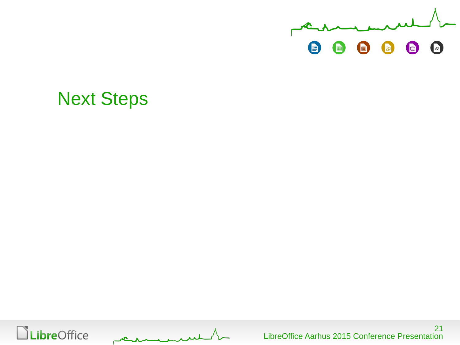

### Next Steps

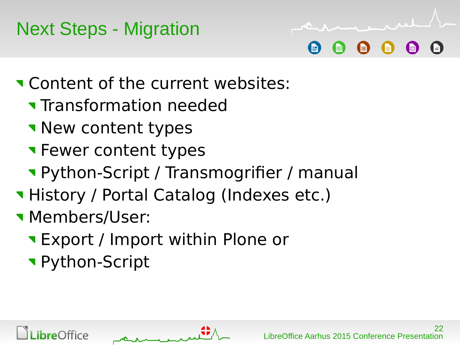## Next Steps - Migration

## **T** Content of the current websites:

- **Transformation needed**
- **New content types**
- **T** Fewer content types
- Python-Script / Transmogrifier / manual
- **History / Portal Catalog (Indexes etc.)**
- **Members/User:** 
	- Export / Import within Plone or
	- Python-Script

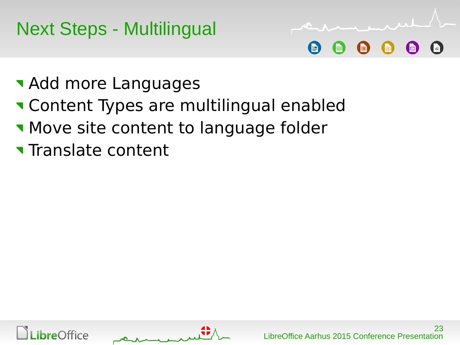Next Steps - Multilingual



- **Add more Languages**
- **Theorem Content Types are multilingual enabled**
- **Move site content to language folder**
- **Translate content**



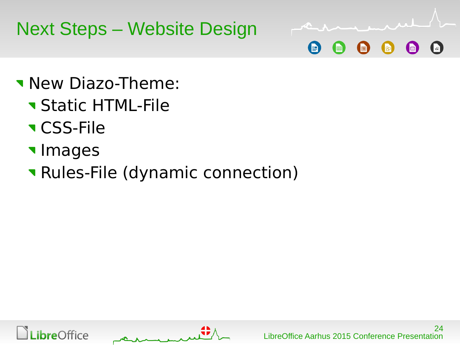



- **New Diazo-Theme:** 
	- **Static HTML-File**
	- **v** CSS-File
	- **Images**
	- Rules-File (dynamic connection)



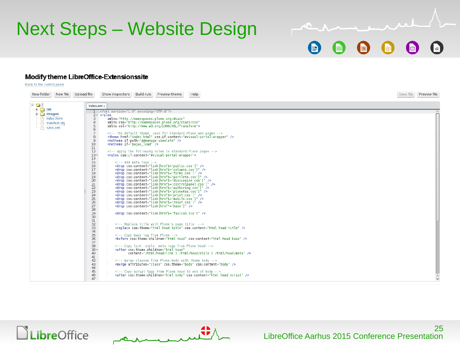## Next Steps – Website Design

### Modify theme LibreOffice-Extensionssite

Back to the control panel

| New folder                                           | New file Upload file<br>Build rule<br>Help<br>Show inspectors<br>Preview theme                                                                                                                                                                                                                                                                 | Save file<br>Preview file |
|------------------------------------------------------|------------------------------------------------------------------------------------------------------------------------------------------------------------------------------------------------------------------------------------------------------------------------------------------------------------------------------------------------|---------------------------|
| $\mathbf{E}\cdot\mathbf{S}$                          | /rules.xml x                                                                                                                                                                                                                                                                                                                                   |                           |
| $\Box$ css<br>$\overline{+}$ mages<br>- P index.html | 1 xml version="1.0" encoding="UTF-8"?<br>$2 -$ <rules<br>3<br/>xmlns="http://namespaces.plone.org/diazo"<br/><math>\overline{4}</math><br/>xmlns:css="http://namespaces.plone.org/diazo/css"</rules<br>                                                                                                                                        |                           |
| - Fig. manifest.cfg<br>└─ Fi rules.xml               | 5<br>xmlns:xsl="http://www.w3.org/1999/XSL/Transform"><br>6<br>$7^{\circ}$<br>The default theme, used for standard Plone web pages                                                                                                                                                                                                             |                           |
|                                                      | 8<br><theme css:if-content="#visual-portal-wrapper" href="index.html"></theme><br>9<br><notheme if-path="@@manage-viewlets"></notheme><br>10<br><notheme if="\$ajax_load"></notheme><br>$11\,$                                                                                                                                                 |                           |
|                                                      | 12<br>Apply the following rules to standard Plone pages<br>$13 -$<br><rules css:if-content="#visual-portal-wrapper"><br/>14<br/>15<br/><!-- Add meta tags --></rules>                                                                                                                                                                          |                           |
|                                                      | 16<br><drop css:content="link[href\$='public.css']"></drop><br><drop css:content="link[href\$='columns.css']"></drop><br>17<br>18<br><drop css:content="link[href\$= forms.css ]"></drop><br>19<br><drop css:content="link[href\$='portlets.css']"></drop><br><drop css:content="link[href\$='discussion.css']"></drop><br>20                  |                           |
|                                                      | 21<br><drop css:content="link[href\$='controlpanel.css']"></drop><br>22<br><drop css:content="link[href\$='authoring.css']"></drop><br>23<br><drop css:content="link[href\$='ploneKss.css']"></drop><br><drop css:content="link[href\$='print.css']"></drop><br>24<br>$\frac{25}{26}$<br><drop css:content="link[href\$='mobile.css']"></drop> |                           |
|                                                      | <drop css:content="link[href\$='reset.css']"></drop><br>27<br><drop css:content="link[href*='base']"></drop><br>28<br>29<br><drop css:content="link[href\$='favicon.ico']"></drop><br>30                                                                                                                                                       |                           |
|                                                      | $\frac{31}{32}$<br>Replace title with Plone's page title<br>33<br>34<br><replace css:content="html head title" css:theme="html head title"></replace>                                                                                                                                                                                          |                           |
|                                                      | 35<br>Copy base tag from Plone<br><before css:content="html head base" css:theme-children="html head"></before><br>36<br>37<br>38<br>Copy link, style, meta tags from Plone head                                                                                                                                                               |                           |
|                                                      | $39 -$<br><after <br="" css:theme-children="html head">40<br/>content="/html/head/link   /html/head/style   /html/head/meta" /&gt;<br/>41<br/>42<br/><!-- merge classes from Plone body with theme body --></after>                                                                                                                            |                           |
|                                                      | <merge attributes="class" css:content="body" css:theme="body"></merge><br>43<br>44<br>45<br>Copy script tags from Plone head to end of body                                                                                                                                                                                                    |                           |
|                                                      | <after css:content="html head script" css:theme-children="html body"></after><br>46<br>47                                                                                                                                                                                                                                                      |                           |





(E)

h

同

 $\sqrt{\kappa}$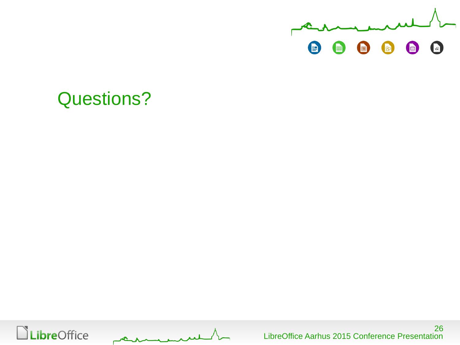

## Questions?